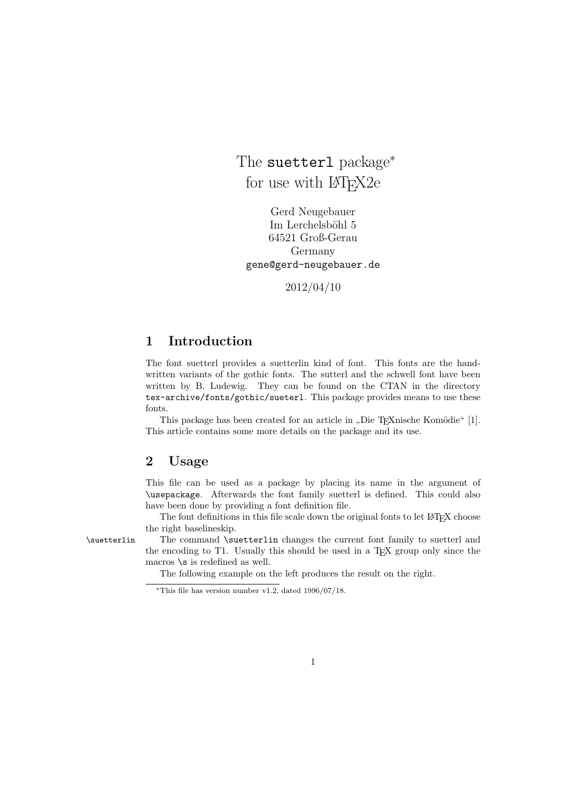The suetter1 package<sup>\*</sup> for use with  $\mu$ <sub>F</sub>X<sub>2</sub>e

Gerd Neugebauer Im Lerchelsböhl 5 64521 Groß-Gerau Germany gene@gerd-neugebauer.de

2012/04/10

### 1 Introduction

The font suetterl provides a suetterlin kind of font. This fonts are the handwritten variants of the gothic fonts. The sutterl and the schwell font have been written by B. Ludewig. They can be found on the CTAN in the directory tex-archive/fonts/gothic/sueterl. This package provides means to use these fonts.

This package has been created for an article in "Die T<sub>E</sub>Xnische Komödie" [1]. This article contains some more details on the package and its use.

### 2 Usage

This file can be used as a package by placing its name in the argument of \usepackage. Afterwards the font family suetterl is defined. This could also have been done by providing a font definition file.

The font definitions in this file scale down the original fonts to let LATEX choose the right baselineskip.

\suetterlin The command \suetterlin changes the current font family to suetterl and the encoding to T1. Usually this should be used in a TEX group only since the macros  $\succeq$  is redefined as well.

The following example on the left produces the result on the right.

<sup>\*</sup>This file has version number v1.2, dated  $1996/07/18$ .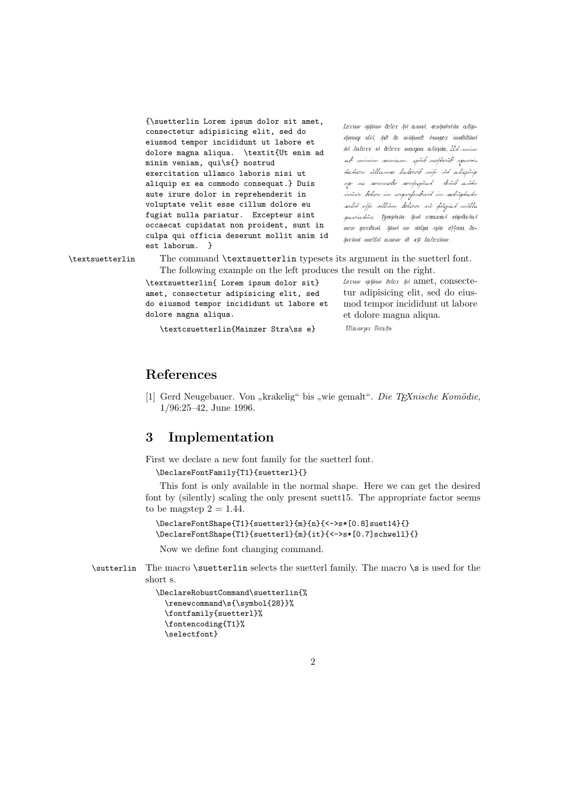{\suetterlin Lorem ipsum dolor sit amet, consectetur adipisicing elit, sed do eiusmod tempor incididunt ut labore et dolore magna aliqua. \textit{Ut enim ad minim veniam, qui\s{} nostrud exercitation ullamco laboris nisi ut aliquip ex ea commodo consequat.} Duis aute irure dolor in reprehenderit in voluptate velit esse cillum dolore eu fugiat nulla pariatur. Excepteur sint occaecat cupidatat non proident, sunt in culpa qui officia deserunt mollit anim id est laborum. }

Lorem ipfirm dolor fit amet, romanterier adipisicing elit, sed do eiusmod tempor incididunt ut labore et dolore magna aliqua. Ut enim ad minim somiam, spiib notherid spervitation ullamn laborit niti ut aliguip sp sa sommodo sonfrapad. Duib aute irure dolor in reprehenderit in voluptate velit esse cillum dolore eu fugiat nulla pariativ. Comptiux just omavat nipidatat now proident, finst in milpa qui offina deserunt mollit anim id est laborum.

\textsuetterlin The command \textsuetterlin typesets its argument in the suetterl font. The following example on the left produces the result on the right.

> \textsuetterlin{ Lorem ipsum dolor sit} amet, consectetur adipisicing elit, sed do eiusmod tempor incididunt ut labore et dolore magna aliqua.

 $t$ orum ipsum dolor  $\#$  amet, consectetur adipisicing elit, sed do eiusmod tempor incididunt ut labore et dolore magna aliqua.

\textcsuetterlin{Mainzer Stra\ss e} Mainyw That

#### References

[1] Gerd Neugebauer. Von "krakelig" bis "wie gemalt". *Die TEXnische Komödie*, 1/06.05.49. June 1996 1/96:25–42, June 1996.

### 3 Implementation

First we declare a new font family for the suetterl font.

\DeclareFontFamily{T1}{suetterl}{}

This font is only available in the normal shape. Here we can get the desired font by (silently) scaling the only present suett15. The appropriate factor seems to be magstep  $2 = 1.44$ .

```
\DeclareFontShape{T1}{suetterl}{m}{n}{<->s*[0.8]suet14}{}
\DeclareFontShape{T1}{suetterl}{m}{it}{<->s*[0.7]schwell}{}
```
Now we define font changing command.

\sutterlin The macro \suetterlin selects the suetterl family. The macro \s is used for the short s.

```
\DeclareRobustCommand\suetterlin{%
 \renewcommand\s{\symbol{28}}%
 \fontfamily{suetterl}%
 \fontencoding{T1}%
 \selectfont}
```